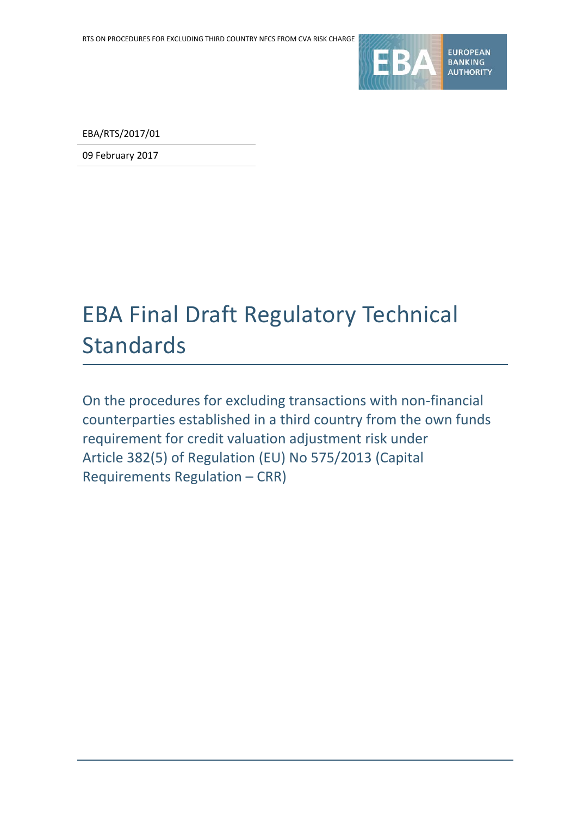

EBA/RTS/2017/01

09 February 2017

# EBA Final Draft Regulatory Technical Standards

On the procedures for excluding transactions with non-financial counterparties established in a third country from the own funds requirement for credit valuation adjustment risk under Article 382(5) of Regulation (EU) No 575/2013 (Capital Requirements Regulation – CRR)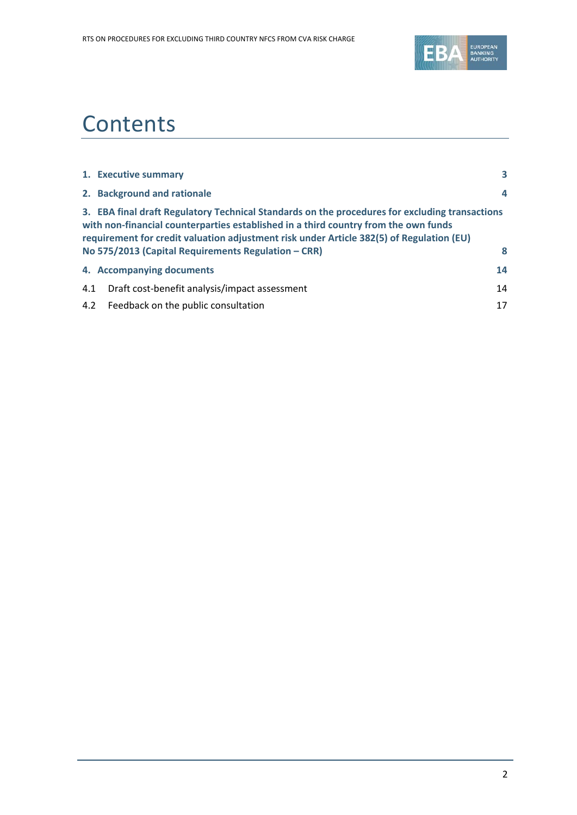

# **Contents**

|     | 1. Executive summary                                                                                                                                                                                                                                                                                                                     | 3  |
|-----|------------------------------------------------------------------------------------------------------------------------------------------------------------------------------------------------------------------------------------------------------------------------------------------------------------------------------------------|----|
|     | 2. Background and rationale                                                                                                                                                                                                                                                                                                              | 4  |
|     | 3. EBA final draft Regulatory Technical Standards on the procedures for excluding transactions<br>with non-financial counterparties established in a third country from the own funds<br>requirement for credit valuation adjustment risk under Article 382(5) of Regulation (EU)<br>No 575/2013 (Capital Requirements Regulation – CRR) | 8  |
|     | 4. Accompanying documents                                                                                                                                                                                                                                                                                                                | 14 |
| 4.1 | Draft cost-benefit analysis/impact assessment                                                                                                                                                                                                                                                                                            | 14 |
|     | 4.2 Feedback on the public consultation                                                                                                                                                                                                                                                                                                  | 17 |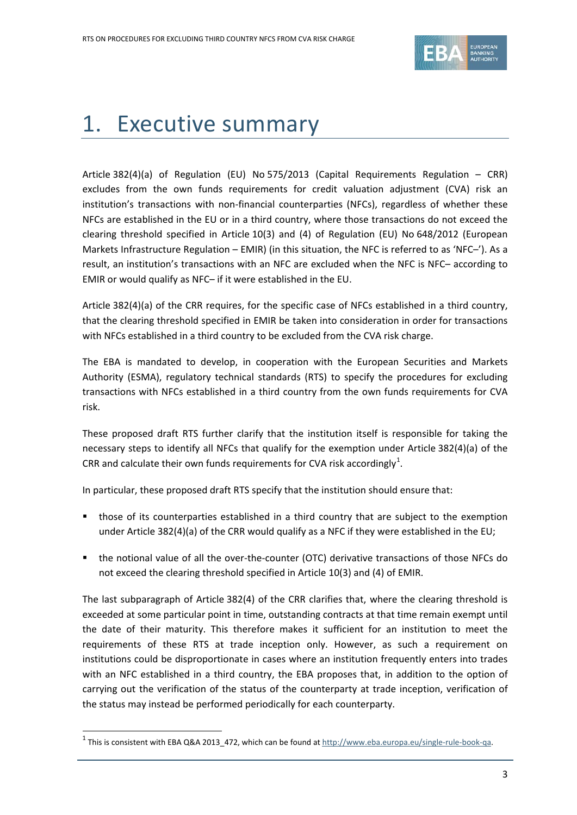

# 1. Executive summary

Article 382(4)(a) of Regulation (EU) No 575/2013 (Capital Requirements Regulation – CRR) excludes from the own funds requirements for credit valuation adjustment (CVA) risk an institution's transactions with non-financial counterparties (NFCs), regardless of whether these NFCs are established in the EU or in a third country, where those transactions do not exceed the clearing threshold specified in Article 10(3) and (4) of Regulation (EU) No 648/2012 (European Markets Infrastructure Regulation – EMIR) (in this situation, the NFC is referred to as 'NFC–'). As a result, an institution's transactions with an NFC are excluded when the NFC is NFC– according to EMIR or would qualify as NFC– if it were established in the EU.

Article 382(4)(a) of the CRR requires, for the specific case of NFCs established in a third country, that the clearing threshold specified in EMIR be taken into consideration in order for transactions with NFCs established in a third country to be excluded from the CVA risk charge.

The EBA is mandated to develop, in cooperation with the European Securities and Markets Authority (ESMA), regulatory technical standards (RTS) to specify the procedures for excluding transactions with NFCs established in a third country from the own funds requirements for CVA risk.

These proposed draft RTS further clarify that the institution itself is responsible for taking the necessary steps to identify all NFCs that qualify for the exemption under Article 382(4)(a) of the CRR and calculate their own funds requirements for CVA risk accordingly<sup>[1](#page-2-0)</sup>.

In particular, these proposed draft RTS specify that the institution should ensure that:

- those of its counterparties established in a third country that are subject to the exemption under Article 382(4)(a) of the CRR would qualify as a NFC if they were established in the EU;
- the notional value of all the over-the-counter (OTC) derivative transactions of those NFCs do not exceed the clearing threshold specified in Article 10(3) and (4) of EMIR.

The last subparagraph of Article 382(4) of the CRR clarifies that, where the clearing threshold is exceeded at some particular point in time, outstanding contracts at that time remain exempt until the date of their maturity. This therefore makes it sufficient for an institution to meet the requirements of these RTS at trade inception only. However, as such a requirement on institutions could be disproportionate in cases where an institution frequently enters into trades with an NFC established in a third country, the EBA proposes that, in addition to the option of carrying out the verification of the status of the counterparty at trade inception, verification of the status may instead be performed periodically for each counterparty.

<span id="page-2-0"></span> $1$  This is consistent with EBA Q&A 2013\_472, which can be found at  $\frac{http://www.eba.europa.eu/single-rule-book-qa.}$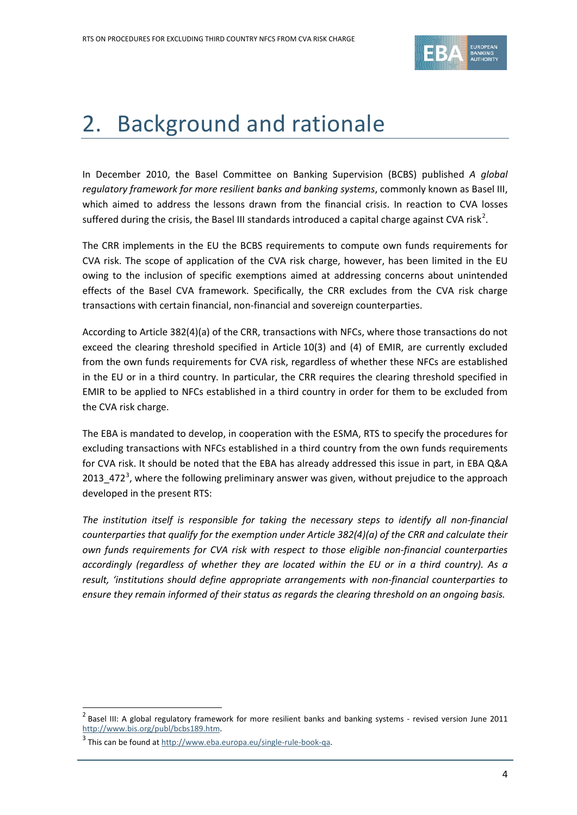

## 2. Background and rationale

In December 2010, the Basel Committee on Banking Supervision (BCBS) published *A global regulatory framework for more resilient banks and banking systems*, commonly known as Basel III, which aimed to address the lessons drawn from the financial crisis. In reaction to CVA losses suffered during the crisis, the Basel III standards introduced a capital charge against CVA risk<sup>[2](#page-3-0)</sup>.

The CRR implements in the EU the BCBS requirements to compute own funds requirements for CVA risk. The scope of application of the CVA risk charge, however, has been limited in the EU owing to the inclusion of specific exemptions aimed at addressing concerns about unintended effects of the Basel CVA framework. Specifically, the CRR excludes from the CVA risk charge transactions with certain financial, non-financial and sovereign counterparties.

According to Article 382(4)(a) of the CRR, transactions with NFCs, where those transactions do not exceed the clearing threshold specified in Article 10(3) and (4) of EMIR, are currently excluded from the own funds requirements for CVA risk, regardless of whether these NFCs are established in the EU or in a third country. In particular, the CRR requires the clearing threshold specified in EMIR to be applied to NFCs established in a third country in order for them to be excluded from the CVA risk charge.

The EBA is mandated to develop, in cooperation with the ESMA, RTS to specify the procedures for excluding transactions with NFCs established in a third country from the own funds requirements for CVA risk. It should be noted that the EBA has already addressed this issue in part, in EBA Q&A 201[3](#page-3-1)\_472<sup>3</sup>, where the following preliminary answer was given, without prejudice to the approach developed in the present RTS:

*The institution itself is responsible for taking the necessary steps to identify all non-financial counterparties that qualify for the exemption under Article 382(4)(a) of the CRR and calculate their own funds requirements for CVA risk with respect to those eligible non-financial counterparties accordingly (regardless of whether they are located within the EU or in a third country). As a result, 'institutions should define appropriate arrangements with non-financial counterparties to ensure they remain informed of their status as regards the clearing threshold on an ongoing basis.* 

<span id="page-3-0"></span> $2$  Basel III: A global regulatory framework for more resilient banks and banking systems - revised version June 2011 [http://www.bis.org/publ/bcbs189.htm.](http://www.bis.org/publ/bcbs189.htm)

<span id="page-3-1"></span> $3$  This can be found at  $\frac{http://www.eba.europa.eu/single-rule-book-qa.}$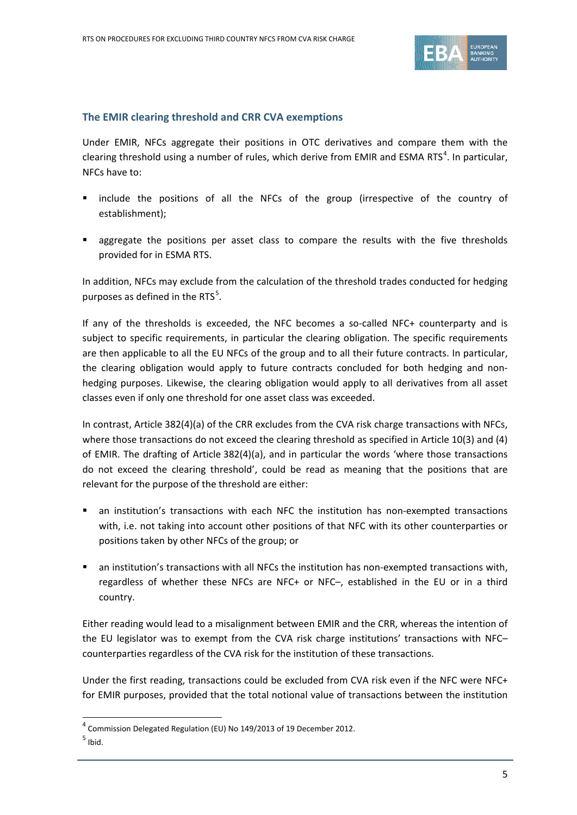

### **The EMIR clearing threshold and CRR CVA exemptions**

Under EMIR, NFCs aggregate their positions in OTC derivatives and compare them with the clearing threshold using a number of rules, which derive from EMIR and ESMA RTS<sup>[4](#page-4-0)</sup>. In particular, NFCs have to:

- include the positions of all the NFCs of the group (irrespective of the country of establishment);
- **E** aggregate the positions per asset class to compare the results with the five thresholds provided for in ESMA RTS.

In addition, NFCs may exclude from the calculation of the threshold trades conducted for hedging purposes as defined in the RTS $5$ .

If any of the thresholds is exceeded, the NFC becomes a so-called NFC+ counterparty and is subject to specific requirements, in particular the clearing obligation. The specific requirements are then applicable to all the EU NFCs of the group and to all their future contracts. In particular, the clearing obligation would apply to future contracts concluded for both hedging and nonhedging purposes. Likewise, the clearing obligation would apply to all derivatives from all asset classes even if only one threshold for one asset class was exceeded.

In contrast, Article 382(4)(a) of the CRR excludes from the CVA risk charge transactions with NFCs, where those transactions do not exceed the clearing threshold as specified in Article 10(3) and (4) of EMIR. The drafting of Article 382(4)(a), and in particular the words 'where those transactions do not exceed the clearing threshold', could be read as meaning that the positions that are relevant for the purpose of the threshold are either:

- an institution's transactions with each NFC the institution has non-exempted transactions with, i.e. not taking into account other positions of that NFC with its other counterparties or positions taken by other NFCs of the group; or
- an institution's transactions with all NFCs the institution has non-exempted transactions with, regardless of whether these NFCs are NFC+ or NFC-, established in the EU or in a third country.

Either reading would lead to a misalignment between EMIR and the CRR, whereas the intention of the EU legislator was to exempt from the CVA risk charge institutions' transactions with NFC– counterparties regardless of the CVA risk for the institution of these transactions.

Under the first reading, transactions could be excluded from CVA risk even if the NFC were NFC+ for EMIR purposes, provided that the total notional value of transactions between the institution

l

<span id="page-4-0"></span><sup>4</sup> Commission Delegated Regulation (EU) No 149/2013 of 19 December 2012.

<span id="page-4-1"></span> $<sup>5</sup>$  Ibid.</sup>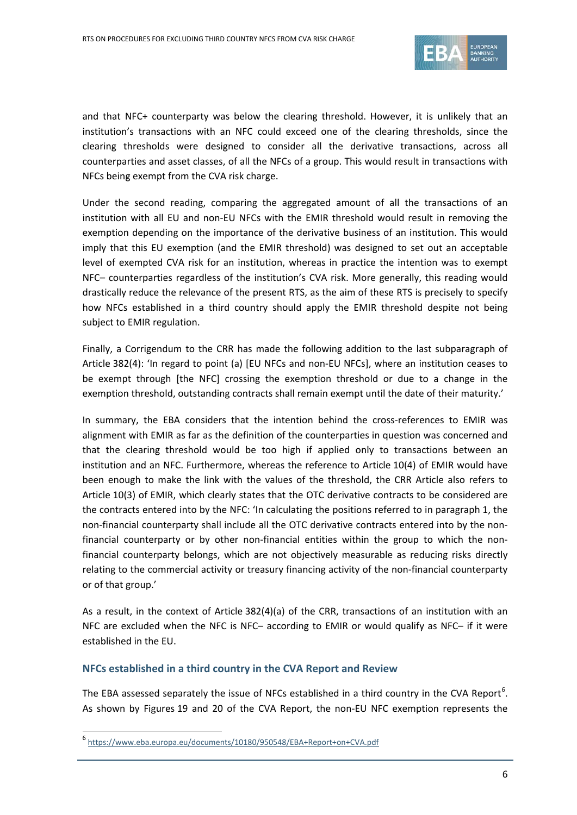

and that NFC+ counterparty was below the clearing threshold. However, it is unlikely that an institution's transactions with an NFC could exceed one of the clearing thresholds, since the clearing thresholds were designed to consider all the derivative transactions, across all counterparties and asset classes, of all the NFCs of a group. This would result in transactions with NFCs being exempt from the CVA risk charge.

Under the second reading, comparing the aggregated amount of all the transactions of an institution with all EU and non-EU NFCs with the EMIR threshold would result in removing the exemption depending on the importance of the derivative business of an institution. This would imply that this EU exemption (and the EMIR threshold) was designed to set out an acceptable level of exempted CVA risk for an institution, whereas in practice the intention was to exempt NFC– counterparties regardless of the institution's CVA risk. More generally, this reading would drastically reduce the relevance of the present RTS, as the aim of these RTS is precisely to specify how NFCs established in a third country should apply the EMIR threshold despite not being subject to EMIR regulation.

Finally, a Corrigendum to the CRR has made the following addition to the last subparagraph of Article 382(4): 'In regard to point (a) [EU NFCs and non-EU NFCs], where an institution ceases to be exempt through [the NFC] crossing the exemption threshold or due to a change in the exemption threshold, outstanding contracts shall remain exempt until the date of their maturity.'

In summary, the EBA considers that the intention behind the cross-references to EMIR was alignment with EMIR as far as the definition of the counterparties in question was concerned and that the clearing threshold would be too high if applied only to transactions between an institution and an NFC. Furthermore, whereas the reference to Article 10(4) of EMIR would have been enough to make the link with the values of the threshold, the CRR Article also refers to Article 10(3) of EMIR, which clearly states that the OTC derivative contracts to be considered are the contracts entered into by the NFC: 'In calculating the positions referred to in paragraph 1, the non-financial counterparty shall include all the OTC derivative contracts entered into by the nonfinancial counterparty or by other non-financial entities within the group to which the nonfinancial counterparty belongs, which are not objectively measurable as reducing risks directly relating to the commercial activity or treasury financing activity of the non-financial counterparty or of that group.'

As a result, in the context of Article 382(4)(a) of the CRR, transactions of an institution with an NFC are excluded when the NFC is NFC– according to EMIR or would qualify as NFC– if it were established in the EU.

### **NFCs established in a third country in the CVA Report and Review**

The EBA assessed separately the issue of NFCs established in a third country in the CVA Report<sup>[6](#page-5-0)</sup>. As shown by Figures 19 and 20 of the CVA Report, the non-EU NFC exemption represents the

<span id="page-5-0"></span><sup>6</sup> <https://www.eba.europa.eu/documents/10180/950548/EBA+Report+on+CVA.pdf>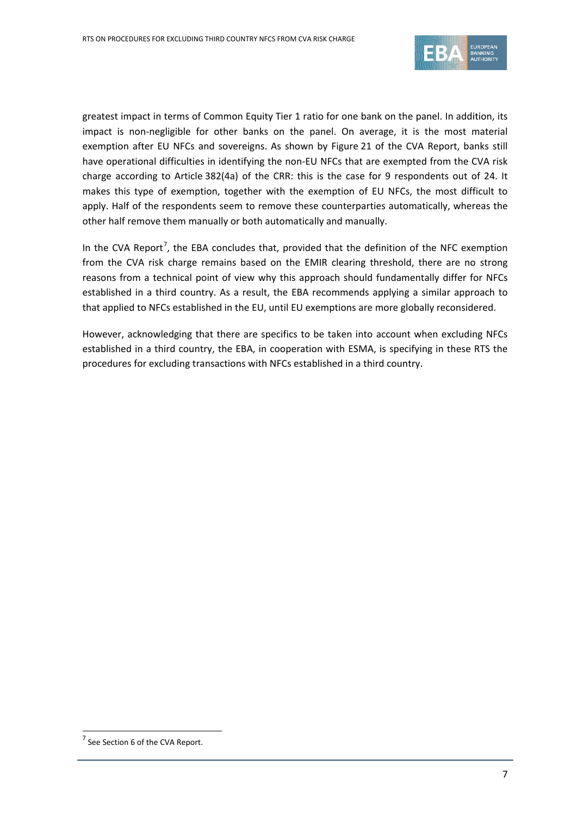

greatest impact in terms of Common Equity Tier 1 ratio for one bank on the panel. In addition, its impact is non-negligible for other banks on the panel. On average, it is the most material exemption after EU NFCs and sovereigns. As shown by Figure 21 of the CVA Report, banks still have operational difficulties in identifying the non-EU NFCs that are exempted from the CVA risk charge according to Article 382(4a) of the CRR: this is the case for 9 respondents out of 24. It makes this type of exemption, together with the exemption of EU NFCs, the most difficult to apply. Half of the respondents seem to remove these counterparties automatically, whereas the other half remove them manually or both automatically and manually.

In the CVA Report<sup>[7](#page-6-0)</sup>, the EBA concludes that, provided that the definition of the NFC exemption from the CVA risk charge remains based on the EMIR clearing threshold, there are no strong reasons from a technical point of view why this approach should fundamentally differ for NFCs established in a third country. As a result, the EBA recommends applying a similar approach to that applied to NFCs established in the EU, until EU exemptions are more globally reconsidered.

However, acknowledging that there are specifics to be taken into account when excluding NFCs established in a third country, the EBA, in cooperation with ESMA, is specifying in these RTS the procedures for excluding transactions with NFCs established in a third country.

<span id="page-6-0"></span> $7$  See Section 6 of the CVA Report.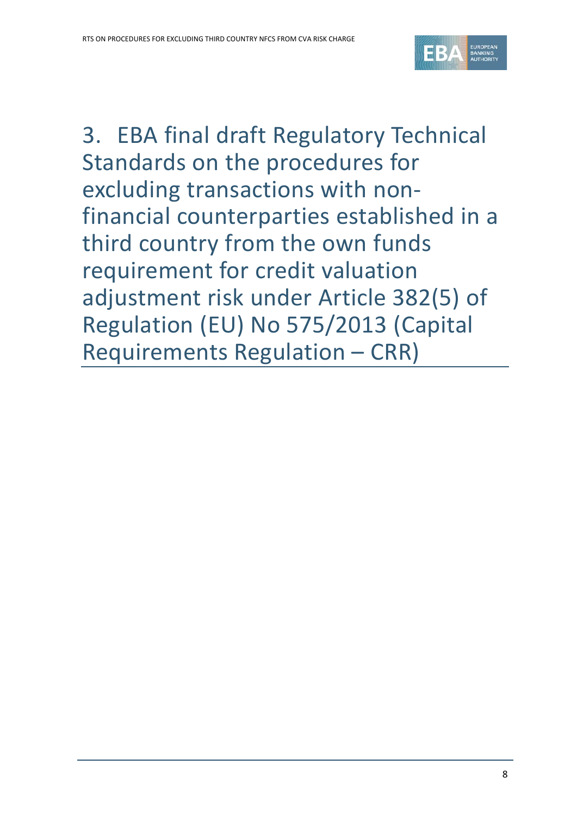

3. EBA final draft Regulatory Technical Standards on the procedures for excluding transactions with nonfinancial counterparties established in a third country from the own funds requirement for credit valuation adjustment risk under Article 382(5) of Regulation (EU) No 575/2013 (Capital Requirements Regulation – CRR)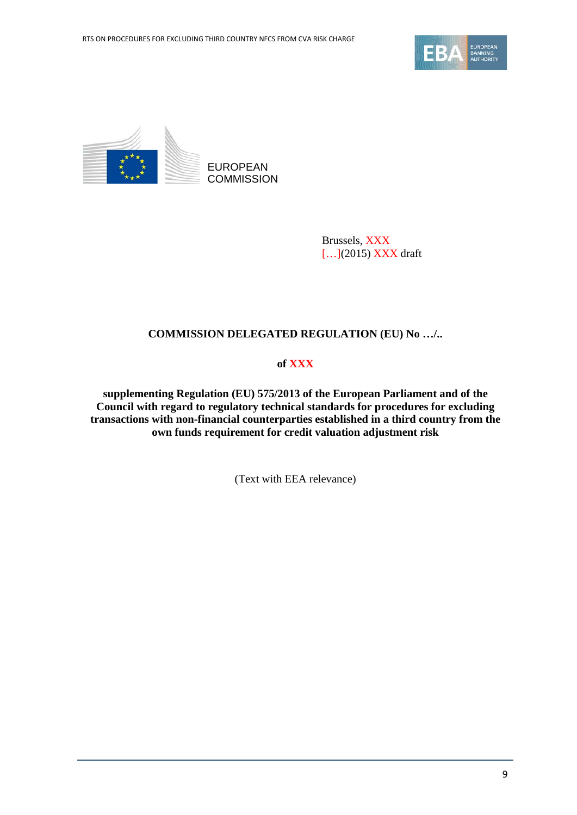



Brussels, XXX [...](2015) XXX draft

### **COMMISSION DELEGATED REGULATION (EU) No …/..**

### **of XXX**

**supplementing Regulation (EU) 575/2013 of the European Parliament and of the Council with regard to regulatory technical standards for procedures for excluding transactions with non-financial counterparties established in a third country from the own funds requirement for credit valuation adjustment risk**

(Text with EEA relevance)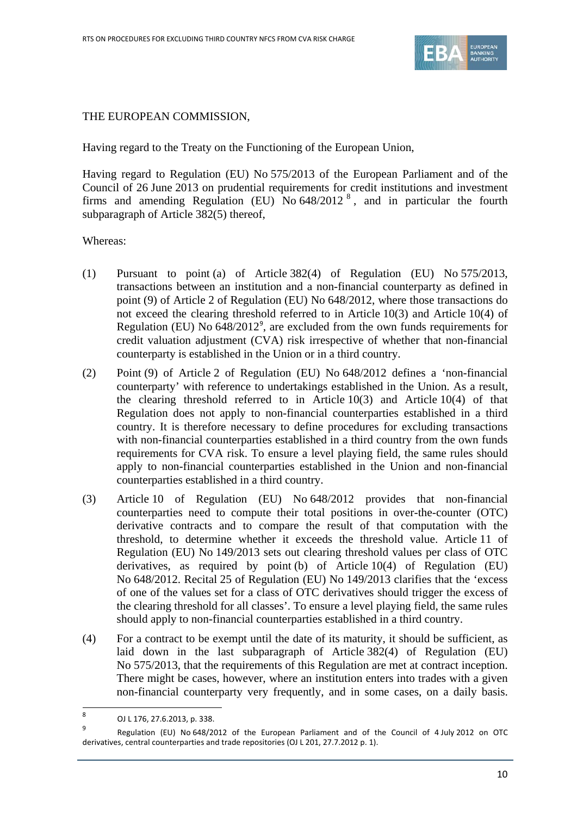

### THE EUROPEAN COMMISSION,

Having regard to the Treaty on the Functioning of the European Union,

Having regard to Regulation (EU) No 575/2013 of the European Parliament and of the Council of 26 June 2013 on prudential requirements for credit institutions and investment firms and amending Regulation (EU) No  $648/2012$  $648/2012$  $648/2012$ <sup>8</sup>, and in particular the fourth subparagraph of Article 382(5) thereof,

Whereas:

- (1) Pursuant to point (a) of Article 382(4) of Regulation (EU) No 575/2013, transactions between an institution and a non-financial counterparty as defined in point (9) of Article 2 of Regulation (EU) No 648/2012, where those transactions do not exceed the clearing threshold referred to in Article 10(3) and Article 10(4) of Regulation (EU) No  $648/2012^9$  $648/2012^9$ , are excluded from the own funds requirements for credit valuation adjustment (CVA) risk irrespective of whether that non-financial counterparty is established in the Union or in a third country.
- (2) Point (9) of Article 2 of Regulation (EU) No 648/2012 defines a 'non-financial counterparty' with reference to undertakings established in the Union. As a result, the clearing threshold referred to in Article  $10(3)$  and Article  $10(4)$  of that Regulation does not apply to non-financial counterparties established in a third country. It is therefore necessary to define procedures for excluding transactions with non-financial counterparties established in a third country from the own funds requirements for CVA risk. To ensure a level playing field, the same rules should apply to non-financial counterparties established in the Union and non-financial counterparties established in a third country.
- (3) Article 10 of Regulation (EU) No 648/2012 provides that non-financial counterparties need to compute their total positions in over-the-counter (OTC) derivative contracts and to compare the result of that computation with the threshold, to determine whether it exceeds the threshold value. Article 11 of Regulation (EU) No 149/2013 sets out clearing threshold values per class of OTC derivatives, as required by point (b) of Article 10(4) of Regulation (EU) No 648/2012. Recital 25 of Regulation (EU) No 149/2013 clarifies that the 'excess of one of the values set for a class of OTC derivatives should trigger the excess of the clearing threshold for all classes'. To ensure a level playing field, the same rules should apply to non-financial counterparties established in a third country.
- (4) For a contract to be exempt until the date of its maturity, it should be sufficient, as laid down in the last subparagraph of Article 382(4) of Regulation (EU) No 575/2013, that the requirements of this Regulation are met at contract inception. There might be cases, however, where an institution enters into trades with a given non-financial counterparty very frequently, and in some cases, on a daily basis.

<span id="page-9-0"></span><sup>8</sup> OJ L 176, 27.6.2013, p. 338.

<span id="page-9-1"></span><sup>9</sup> Regulation (EU) No 648/2012 of the European Parliament and of the Council of 4 July 2012 on OTC derivatives, central counterparties and trade repositories (OJ L 201, 27.7.2012 p. 1).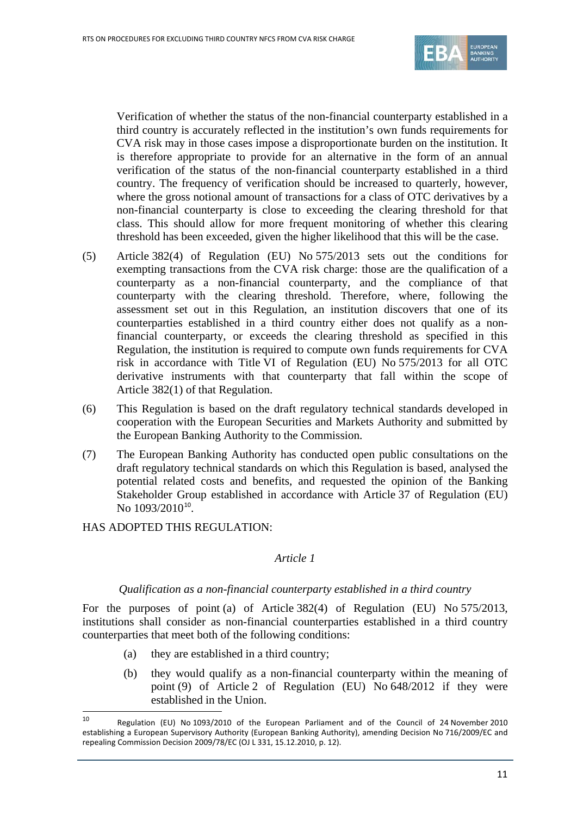

Verification of whether the status of the non-financial counterparty established in a third country is accurately reflected in the institution's own funds requirements for CVA risk may in those cases impose a disproportionate burden on the institution. It is therefore appropriate to provide for an alternative in the form of an annual verification of the status of the non-financial counterparty established in a third country. The frequency of verification should be increased to quarterly, however, where the gross notional amount of transactions for a class of OTC derivatives by a non-financial counterparty is close to exceeding the clearing threshold for that class. This should allow for more frequent monitoring of whether this clearing threshold has been exceeded, given the higher likelihood that this will be the case.

- (5) Article 382(4) of Regulation (EU) No 575/2013 sets out the conditions for exempting transactions from the CVA risk charge: those are the qualification of a counterparty as a non-financial counterparty, and the compliance of that counterparty with the clearing threshold. Therefore, where, following the assessment set out in this Regulation, an institution discovers that one of its counterparties established in a third country either does not qualify as a nonfinancial counterparty, or exceeds the clearing threshold as specified in this Regulation, the institution is required to compute own funds requirements for CVA risk in accordance with Title VI of Regulation (EU) No 575/2013 for all OTC derivative instruments with that counterparty that fall within the scope of Article 382(1) of that Regulation.
- (6) This Regulation is based on the draft regulatory technical standards developed in cooperation with the European Securities and Markets Authority and submitted by the European Banking Authority to the Commission.
- (7) The European Banking Authority has conducted open public consultations on the draft regulatory technical standards on which this Regulation is based, analysed the potential related costs and benefits, and requested the opinion of the Banking Stakeholder Group established in accordance with Article 37 of Regulation (EU) No [10](#page-10-0)93/2010<sup>10</sup>.

HAS ADOPTED THIS REGULATION:

### *Article 1*

### *Qualification as a non-financial counterparty established in a third country*

For the purposes of point (a) of Article 382(4) of Regulation (EU) No 575/2013, institutions shall consider as non-financial counterparties established in a third country counterparties that meet both of the following conditions:

- (a) they are established in a third country;
- (b) they would qualify as a non-financial counterparty within the meaning of point (9) of Article 2 of Regulation (EU) No 648/2012 if they were established in the Union.

<span id="page-10-0"></span><sup>10</sup> Regulation (EU) No 1093/2010 of the European Parliament and of the Council of 24 November 2010 establishing a European Supervisory Authority (European Banking Authority), amending Decision No 716/2009/EC and repealing Commission Decision 2009/78/EC (OJ L 331, 15.12.2010, p. 12).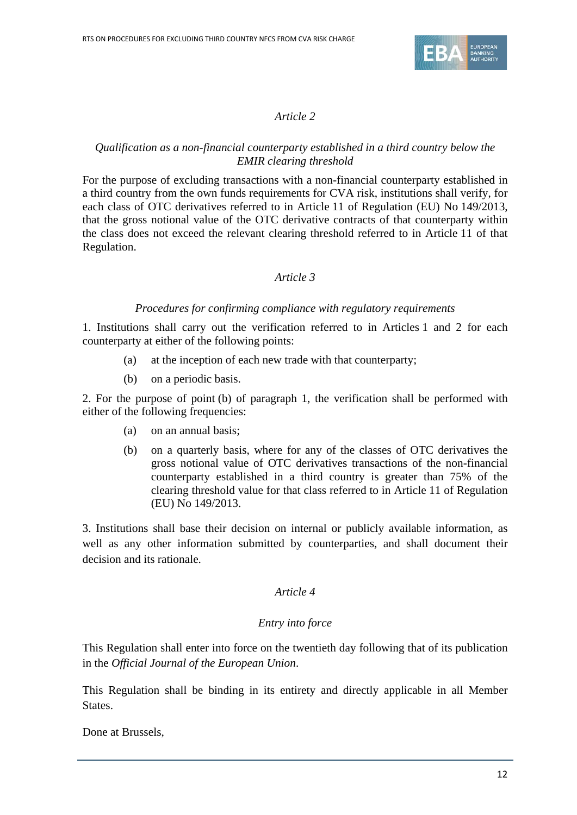

### *Article 2*

### *Qualification as a non-financial counterparty established in a third country below the EMIR clearing threshold*

For the purpose of excluding transactions with a non-financial counterparty established in a third country from the own funds requirements for CVA risk, institutions shall verify, for each class of OTC derivatives referred to in Article 11 of Regulation (EU) No 149/2013, that the gross notional value of the OTC derivative contracts of that counterparty within the class does not exceed the relevant clearing threshold referred to in Article 11 of that Regulation.

### *Article 3*

### *Procedures for confirming compliance with regulatory requirements*

1. Institutions shall carry out the verification referred to in Articles 1 and 2 for each counterparty at either of the following points:

- (a) at the inception of each new trade with that counterparty;
- (b) on a periodic basis.

2. For the purpose of point (b) of paragraph 1, the verification shall be performed with either of the following frequencies:

- (a) on an annual basis;
- (b) on a quarterly basis, where for any of the classes of OTC derivatives the gross notional value of OTC derivatives transactions of the non-financial counterparty established in a third country is greater than 75% of the clearing threshold value for that class referred to in Article 11 of Regulation (EU) No 149/2013.

3. Institutions shall base their decision on internal or publicly available information, as well as any other information submitted by counterparties, and shall document their decision and its rationale.

### *Article 4*

### *Entry into force*

This Regulation shall enter into force on the twentieth day following that of its publication in the *Official Journal of the European Union*.

This Regulation shall be binding in its entirety and directly applicable in all Member States.

Done at Brussels,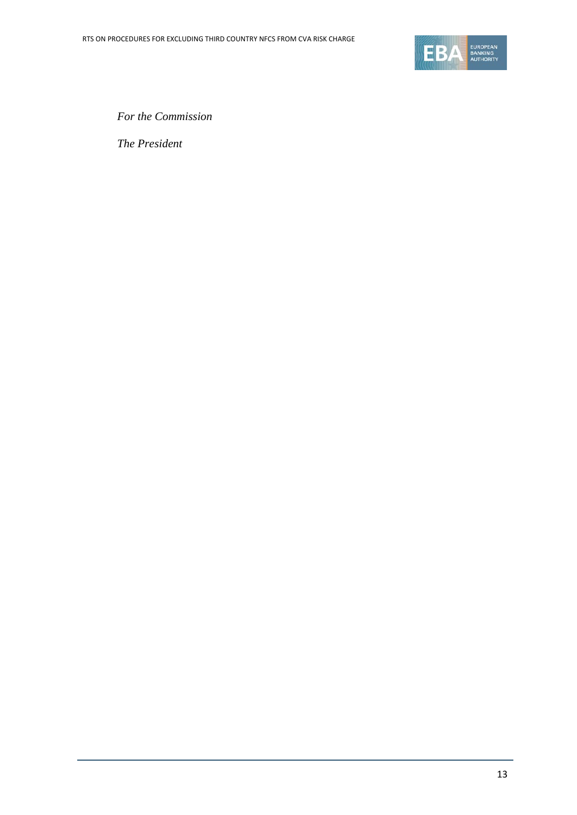

*For the Commission*

*The President*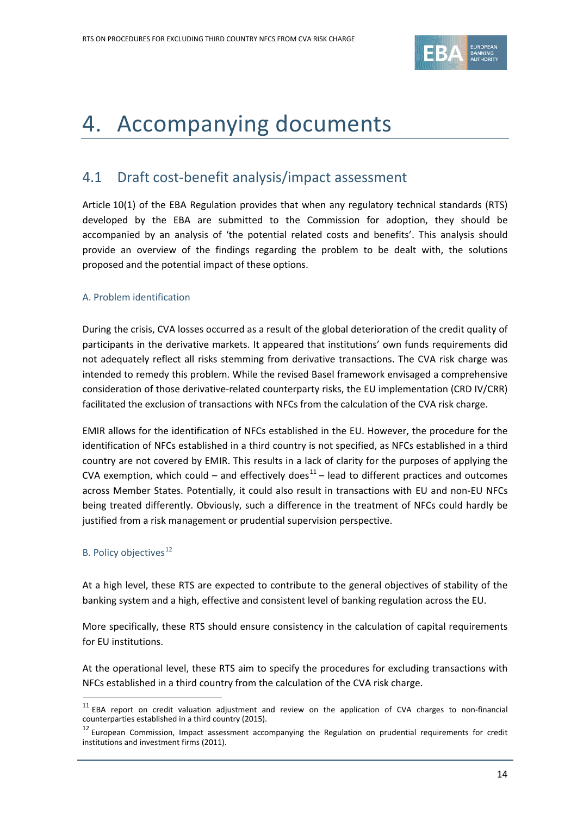

### 4. Accompanying documents

### 4.1 Draft cost-benefit analysis/impact assessment

Article 10(1) of the EBA Regulation provides that when any regulatory technical standards (RTS) developed by the EBA are submitted to the Commission for adoption, they should be accompanied by an analysis of 'the potential related costs and benefits'. This analysis should provide an overview of the findings regarding the problem to be dealt with, the solutions proposed and the potential impact of these options.

### A. Problem identification

During the crisis, CVA losses occurred as a result of the global deterioration of the credit quality of participants in the derivative markets. It appeared that institutions' own funds requirements did not adequately reflect all risks stemming from derivative transactions. The CVA risk charge was intended to remedy this problem. While the revised Basel framework envisaged a comprehensive consideration of those derivative-related counterparty risks, the EU implementation (CRD IV/CRR) facilitated the exclusion of transactions with NFCs from the calculation of the CVA risk charge.

EMIR allows for the identification of NFCs established in the EU. However, the procedure for the identification of NFCs established in a third country is not specified, as NFCs established in a third country are not covered by EMIR. This results in a lack of clarity for the purposes of applying the CVA exemption, which could – and effectively does $11$  – lead to different practices and outcomes across Member States. Potentially, it could also result in transactions with EU and non-EU NFCs being treated differently. Obviously, such a difference in the treatment of NFCs could hardly be justified from a risk management or prudential supervision perspective.

### B. Policy objectives<sup>[12](#page-13-1)</sup>

 $\overline{a}$ 

At a high level, these RTS are expected to contribute to the general objectives of stability of the banking system and a high, effective and consistent level of banking regulation across the EU.

More specifically, these RTS should ensure consistency in the calculation of capital requirements for EU institutions.

At the operational level, these RTS aim to specify the procedures for excluding transactions with NFCs established in a third country from the calculation of the CVA risk charge.

<span id="page-13-0"></span><sup>&</sup>lt;sup>11</sup> EBA report on credit valuation adjustment and review on the application of CVA charges to non-financial counterparties established in a third country (2015).

<span id="page-13-1"></span><sup>&</sup>lt;sup>12</sup> European Commission, Impact assessment accompanying the Regulation on prudential requirements for credit institutions and investment firms (2011).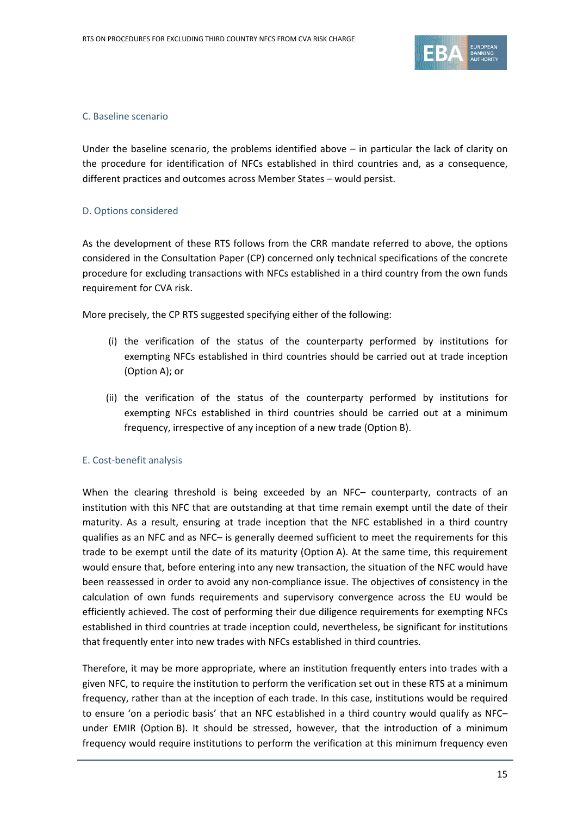

### C. Baseline scenario

Under the baseline scenario, the problems identified above – in particular the lack of clarity on the procedure for identification of NFCs established in third countries and, as a consequence, different practices and outcomes across Member States – would persist.

### D. Options considered

As the development of these RTS follows from the CRR mandate referred to above, the options considered in the Consultation Paper (CP) concerned only technical specifications of the concrete procedure for excluding transactions with NFCs established in a third country from the own funds requirement for CVA risk.

More precisely, the CP RTS suggested specifying either of the following:

- (i) the verification of the status of the counterparty performed by institutions for exempting NFCs established in third countries should be carried out at trade inception (Option A); or
- (ii) the verification of the status of the counterparty performed by institutions for exempting NFCs established in third countries should be carried out at a minimum frequency, irrespective of any inception of a new trade (Option B).

#### E. Cost-benefit analysis

When the clearing threshold is being exceeded by an NFC– counterparty, contracts of an institution with this NFC that are outstanding at that time remain exempt until the date of their maturity. As a result, ensuring at trade inception that the NFC established in a third country qualifies as an NFC and as NFC– is generally deemed sufficient to meet the requirements for this trade to be exempt until the date of its maturity (Option A). At the same time, this requirement would ensure that, before entering into any new transaction, the situation of the NFC would have been reassessed in order to avoid any non-compliance issue. The objectives of consistency in the calculation of own funds requirements and supervisory convergence across the EU would be efficiently achieved. The cost of performing their due diligence requirements for exempting NFCs established in third countries at trade inception could, nevertheless, be significant for institutions that frequently enter into new trades with NFCs established in third countries.

Therefore, it may be more appropriate, where an institution frequently enters into trades with a given NFC, to require the institution to perform the verification set out in these RTS at a minimum frequency, rather than at the inception of each trade. In this case, institutions would be required to ensure 'on a periodic basis' that an NFC established in a third country would qualify as NFC– under EMIR (Option B). It should be stressed, however, that the introduction of a minimum frequency would require institutions to perform the verification at this minimum frequency even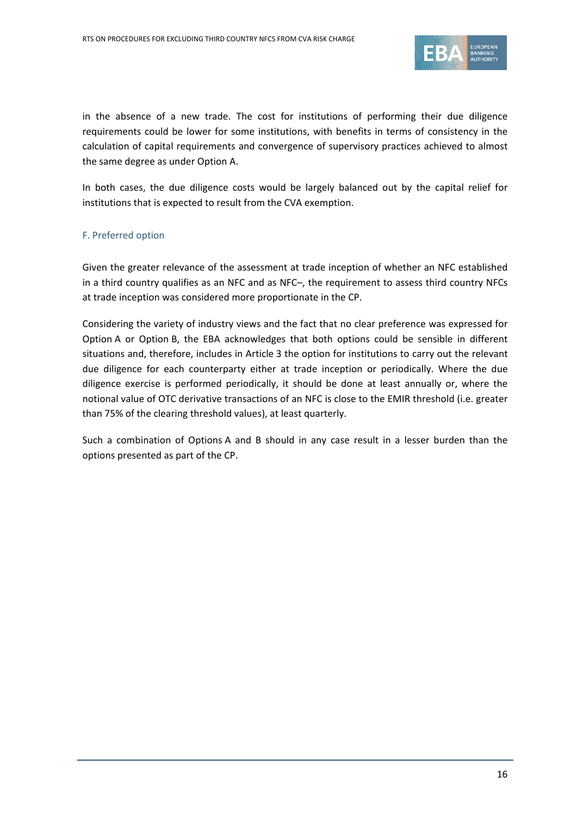

in the absence of a new trade. The cost for institutions of performing their due diligence requirements could be lower for some institutions, with benefits in terms of consistency in the calculation of capital requirements and convergence of supervisory practices achieved to almost the same degree as under Option A.

In both cases, the due diligence costs would be largely balanced out by the capital relief for institutions that is expected to result from the CVA exemption.

### F. Preferred option

Given the greater relevance of the assessment at trade inception of whether an NFC established in a third country qualifies as an NFC and as NFC–, the requirement to assess third country NFCs at trade inception was considered more proportionate in the CP.

Considering the variety of industry views and the fact that no clear preference was expressed for Option A or Option B, the EBA acknowledges that both options could be sensible in different situations and, therefore, includes in Article 3 the option for institutions to carry out the relevant due diligence for each counterparty either at trade inception or periodically. Where the due diligence exercise is performed periodically, it should be done at least annually or, where the notional value of OTC derivative transactions of an NFC is close to the EMIR threshold (i.e. greater than 75% of the clearing threshold values), at least quarterly.

Such a combination of Options A and B should in any case result in a lesser burden than the options presented as part of the CP.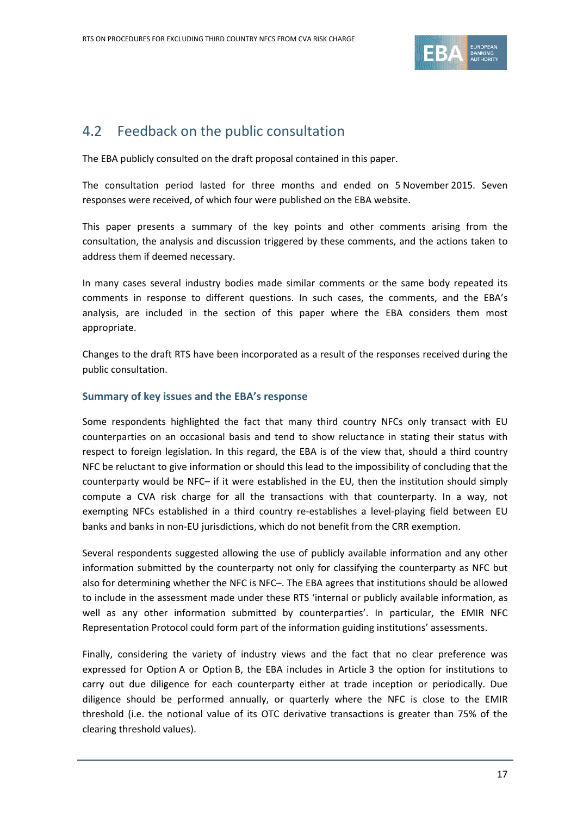

### 4.2 Feedback on the public consultation

The EBA publicly consulted on the draft proposal contained in this paper.

The consultation period lasted for three months and ended on 5 November 2015. Seven responses were received, of which four were published on the EBA website.

This paper presents a summary of the key points and other comments arising from the consultation, the analysis and discussion triggered by these comments, and the actions taken to address them if deemed necessary.

In many cases several industry bodies made similar comments or the same body repeated its comments in response to different questions. In such cases, the comments, and the EBA's analysis, are included in the section of this paper where the EBA considers them most appropriate.

Changes to the draft RTS have been incorporated as a result of the responses received during the public consultation.

### **Summary of key issues and the EBA's response**

Some respondents highlighted the fact that many third country NFCs only transact with EU counterparties on an occasional basis and tend to show reluctance in stating their status with respect to foreign legislation. In this regard, the EBA is of the view that, should a third country NFC be reluctant to give information or should this lead to the impossibility of concluding that the counterparty would be NFC– if it were established in the EU, then the institution should simply compute a CVA risk charge for all the transactions with that counterparty. In a way, not exempting NFCs established in a third country re-establishes a level-playing field between EU banks and banks in non-EU jurisdictions, which do not benefit from the CRR exemption.

Several respondents suggested allowing the use of publicly available information and any other information submitted by the counterparty not only for classifying the counterparty as NFC but also for determining whether the NFC is NFC–. The EBA agrees that institutions should be allowed to include in the assessment made under these RTS 'internal or publicly available information, as well as any other information submitted by counterparties'. In particular, the EMIR NFC Representation Protocol could form part of the information guiding institutions' assessments.

Finally, considering the variety of industry views and the fact that no clear preference was expressed for Option A or Option B, the EBA includes in Article 3 the option for institutions to carry out due diligence for each counterparty either at trade inception or periodically. Due diligence should be performed annually, or quarterly where the NFC is close to the EMIR threshold (i.e. the notional value of its OTC derivative transactions is greater than 75% of the clearing threshold values).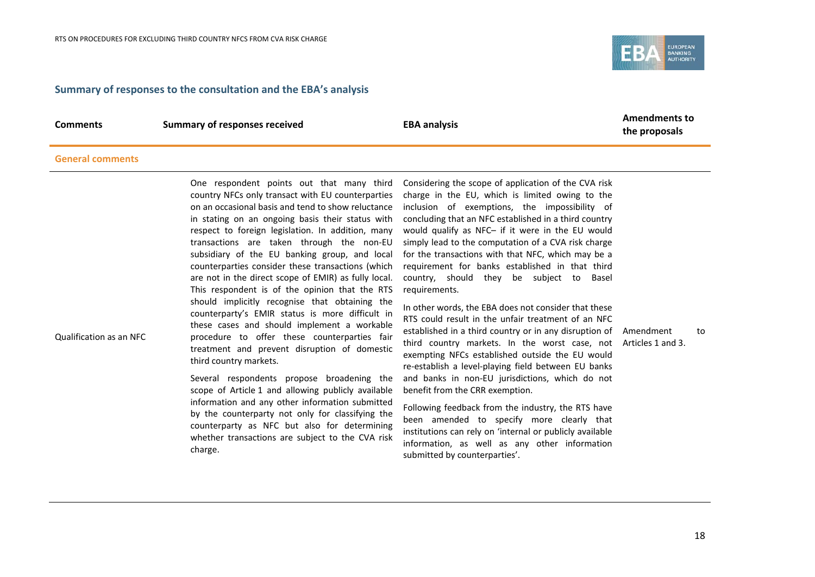

### **Summary of responses to the consultation and the EBA's analysis**

**Comments Summary of responses received EBA analysis EBA analysis Amendments to EBA Analysis** 

**the proposals**

### **General comments**

| One respondent points out that many third<br>country NFCs only transact with EU counterparties<br>on an occasional basis and tend to show reluctance<br>in stating on an ongoing basis their status with<br>respect to foreign legislation. In addition, many<br>transactions are taken through the non-EU<br>subsidiary of the EU banking group, and local<br>counterparties consider these transactions (which<br>are not in the direct scope of EMIR) as fully local.<br>This respondent is of the opinion that the RTS<br>should implicitly recognise that obtaining the<br>counterparty's EMIR status is more difficult in<br>these cases and should implement a workable<br>Qualification as an NFC<br>procedure to offer these counterparties fair<br>treatment and prevent disruption of domestic<br>third country markets.<br>Several respondents propose broadening the<br>scope of Article 1 and allowing publicly available<br>information and any other information submitted<br>by the counterparty not only for classifying the<br>counterparty as NFC but also for determining<br>whether transactions are subject to the CVA risk<br>charge. | Considering the scope of application of the CVA risk<br>charge in the EU, which is limited owing to the<br>inclusion of exemptions, the impossibility of<br>concluding that an NFC established in a third country<br>would qualify as NFC- if it were in the EU would<br>simply lead to the computation of a CVA risk charge<br>for the transactions with that NFC, which may be a<br>requirement for banks established in that third<br>country, should they be subject to<br>Basel<br>requirements.<br>In other words, the EBA does not consider that these<br>RTS could result in the unfair treatment of an NFC<br>established in a third country or in any disruption of Amendment<br>third country markets. In the worst case, not Articles 1 and 3.<br>exempting NFCs established outside the EU would<br>re-establish a level-playing field between EU banks<br>and banks in non-EU jurisdictions, which do not<br>benefit from the CRR exemption.<br>Following feedback from the industry, the RTS have<br>been amended to specify more clearly that<br>institutions can rely on 'internal or publicly available<br>information, as well as any other information |  | to |
|---------------------------------------------------------------------------------------------------------------------------------------------------------------------------------------------------------------------------------------------------------------------------------------------------------------------------------------------------------------------------------------------------------------------------------------------------------------------------------------------------------------------------------------------------------------------------------------------------------------------------------------------------------------------------------------------------------------------------------------------------------------------------------------------------------------------------------------------------------------------------------------------------------------------------------------------------------------------------------------------------------------------------------------------------------------------------------------------------------------------------------------------------------------|----------------------------------------------------------------------------------------------------------------------------------------------------------------------------------------------------------------------------------------------------------------------------------------------------------------------------------------------------------------------------------------------------------------------------------------------------------------------------------------------------------------------------------------------------------------------------------------------------------------------------------------------------------------------------------------------------------------------------------------------------------------------------------------------------------------------------------------------------------------------------------------------------------------------------------------------------------------------------------------------------------------------------------------------------------------------------------------------------------------------------------------------------------------------------|--|----|
|---------------------------------------------------------------------------------------------------------------------------------------------------------------------------------------------------------------------------------------------------------------------------------------------------------------------------------------------------------------------------------------------------------------------------------------------------------------------------------------------------------------------------------------------------------------------------------------------------------------------------------------------------------------------------------------------------------------------------------------------------------------------------------------------------------------------------------------------------------------------------------------------------------------------------------------------------------------------------------------------------------------------------------------------------------------------------------------------------------------------------------------------------------------|----------------------------------------------------------------------------------------------------------------------------------------------------------------------------------------------------------------------------------------------------------------------------------------------------------------------------------------------------------------------------------------------------------------------------------------------------------------------------------------------------------------------------------------------------------------------------------------------------------------------------------------------------------------------------------------------------------------------------------------------------------------------------------------------------------------------------------------------------------------------------------------------------------------------------------------------------------------------------------------------------------------------------------------------------------------------------------------------------------------------------------------------------------------------------|--|----|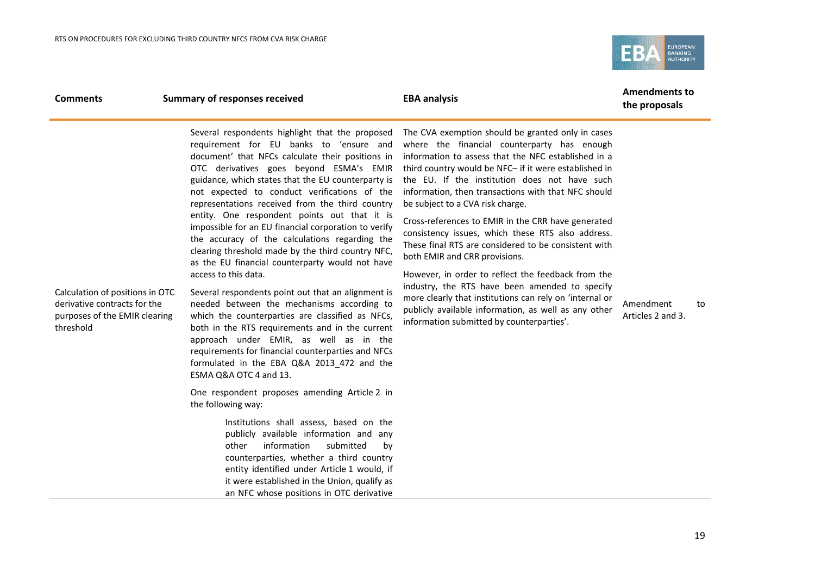

| Several respondents highlight that the proposed<br>requirement for EU banks to 'ensure and<br>document' that NFCs calculate their positions in<br>OTC derivatives goes beyond ESMA's EMIR<br>guidance, which states that the EU counterparty is<br>not expected to conduct verifications of the<br>representations received from the third country<br>entity. One respondent points out that it is<br>impossible for an EU financial corporation to verify<br>the accuracy of the calculations regarding the<br>clearing threshold made by the third country NFC,<br>as the EU financial counterparty would not have<br>access to this data.<br>Calculation of positions in OTC<br>Several respondents point out that an alignment is<br>derivative contracts for the<br>needed between the mechanisms according to<br>purposes of the EMIR clearing<br>which the counterparties are classified as NFCs,<br>threshold<br>both in the RTS requirements and in the current<br>approach under EMIR, as well as in the<br>requirements for financial counterparties and NFCs<br>formulated in the EBA Q&A 2013_472 and the<br>ESMA Q&A OTC 4 and 13.<br>One respondent proposes amending Article 2 in<br>the following way:<br>Institutions shall assess, based on the<br>publicly available information and any<br>information<br>other<br>counterparties, whether a third country<br>entity identified under Article 1 would, if<br>it were established in the Union, qualify as<br>an NFC whose positions in OTC derivative | The CVA exemption should be granted only in cases<br>where the financial counterparty has enough<br>information to assess that the NFC established in a<br>third country would be NFC- if it were established in<br>the EU. If the institution does not have such<br>information, then transactions with that NFC should<br>be subject to a CVA risk charge.<br>Cross-references to EMIR in the CRR have generated<br>consistency issues, which these RTS also address.<br>These final RTS are considered to be consistent with<br>both EMIR and CRR provisions.<br>However, in order to reflect the feedback from the<br>industry, the RTS have been amended to specify<br>more clearly that institutions can rely on 'internal or<br>publicly available information, as well as any other<br>information submitted by counterparties'.<br>submitted<br>by | Amendment<br>to<br>Articles 2 and 3. |  |
|----------------------------------------------------------------------------------------------------------------------------------------------------------------------------------------------------------------------------------------------------------------------------------------------------------------------------------------------------------------------------------------------------------------------------------------------------------------------------------------------------------------------------------------------------------------------------------------------------------------------------------------------------------------------------------------------------------------------------------------------------------------------------------------------------------------------------------------------------------------------------------------------------------------------------------------------------------------------------------------------------------------------------------------------------------------------------------------------------------------------------------------------------------------------------------------------------------------------------------------------------------------------------------------------------------------------------------------------------------------------------------------------------------------------------------------------------------------------------------------------------------------------------|-------------------------------------------------------------------------------------------------------------------------------------------------------------------------------------------------------------------------------------------------------------------------------------------------------------------------------------------------------------------------------------------------------------------------------------------------------------------------------------------------------------------------------------------------------------------------------------------------------------------------------------------------------------------------------------------------------------------------------------------------------------------------------------------------------------------------------------------------------------|--------------------------------------|--|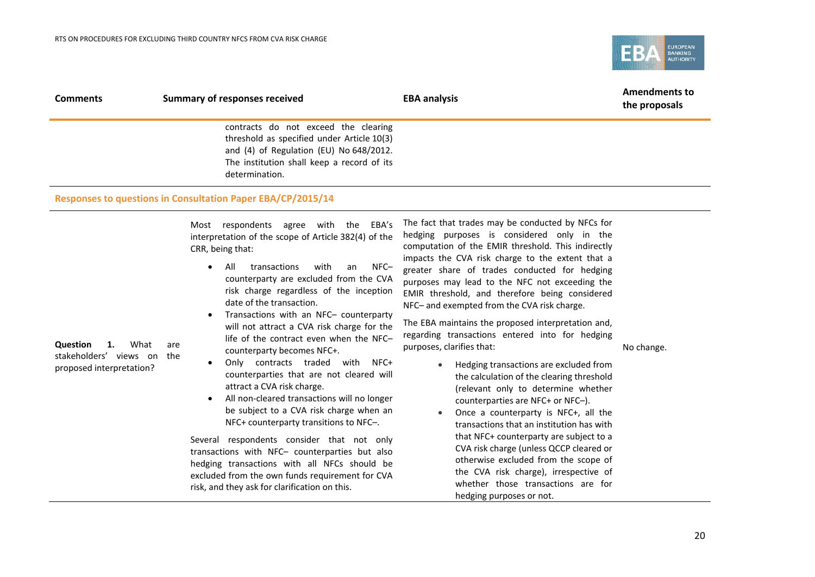

| <b>Comments</b> | <b>Summary of responses received</b>                        | <b>EBA analysis</b> | <b>Amendments to</b><br>the proposals |
|-----------------|-------------------------------------------------------------|---------------------|---------------------------------------|
|                 | contracts do not exceed the clearing                        |                     |                                       |
|                 | threshold as specified under Article 10(3)                  |                     |                                       |
|                 | and (4) of Regulation (EU) No 648/2012.                     |                     |                                       |
|                 | The institution shall keep a record of its                  |                     |                                       |
|                 | determination.                                              |                     |                                       |
|                 | Responses to questions in Consultation Paper EBA/CP/2015/14 |                     |                                       |

Most respondents agree with the EBA's interpretation of the scope of Article 382(4) of the CRR, being that:

- All transactions with an NFC– counterparty are excluded from the CVA risk charge regardless of the inception date of the transaction.
- Transactions with an NFC– counterparty will not attract a CVA risk charge for the life of the contract even when the NFC– counterparty becomes NFC+.
- Only contracts traded with NFC+ counterparties that are not cleared will attract a CVA risk charge.
- All non-cleared transactions will no longer be subject to a CVA risk charge when an NFC+ counterparty transitions to NFC–.

Several respondents consider that not only transactions with NFC– counterparties but also hedging transactions with all NFCs should be excluded from the own funds requirement for CVA risk, and they ask for clarification on this.

The fact that trades may be conducted by NFCs for hedging purposes is considered only in the computation of the EMIR threshold. This indirectly impacts the CVA risk charge to the extent that a greater share of trades conducted for hedging purposes may lead to the NFC not exceeding the EMIR threshold, and therefore being considered NFC– and exempted from the CVA risk charge.

The EBA maintains the proposed interpretation and, regarding transactions entered into for hedging purposes, clarifies that:

No change.

- Hedging transactions are excluded from the calculation of the clearing threshold (relevant only to determine whether counterparties are NFC+ or NFC–).
- Once a counterparty is NFC+, all the transactions that an institution has with that NFC+ counterparty are subject to a CVA risk charge (unless QCCP cleared or otherwise excluded from the scope of the CVA risk charge), irrespective of whether those transactions are for hedging purposes or not.

**Question 1.** What are stakeholders' views on the proposed interpretation?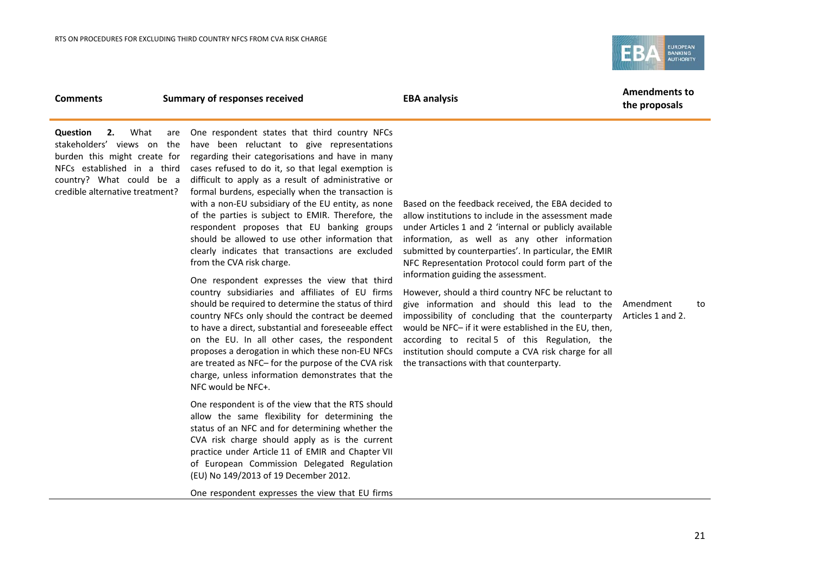

### **Comments Summary of responses received EBA analysis EBA analysis Amendments to**

**the proposals**

**Question 2.** What are stakeholders' views on the burden this might create for NFCs established in a third country? What could be a credible alternative treatment?

One respondent states that third country NFCs have been reluctant to give representations regarding their categorisations and have in many cases refused to do it, so that legal exemption is difficult to apply as a result of administrative or formal burdens, especially when the transaction is with a non-EU subsidiary of the EU entity, as none of the parties is subject to EMIR. Therefore, the respondent proposes that EU banking groups should be allowed to use other information that clearly indicates that transactions are excluded from the CVA risk charge.

One respondent expresses the view that third country subsidiaries and affiliates of EU firms should be required to determine the status of third country NFCs only should the contract be deemed to have a direct, substantial and foreseeable effect on the EU. In all other cases, the respondent proposes a derogation in which these non-EU NFCs are treated as NFC– for the purpose of the CVA risk charge, unless information demonstrates that the NFC would be NFC+.

One respondent is of the view that the RTS should allow the same flexibility for determining the status of an NFC and for determining whether the CVA risk charge should apply as is the current practice under Article 11 of EMIR and Chapter VII of European Commission Delegated Regulation (EU) No 149/2013 of 19 December 2012.

One respondent expresses the view that EU firms

Based on the feedback received, the EBA decided to allow institutions to include in the assessment made under Articles 1 and 2 'internal or publicly available information, as well as any other information submitted by counterparties'. In particular, the EMIR NFC Representation Protocol could form part of the information guiding the assessment.

However, should a third country NFC be reluctant to give information and should this lead to the Amendment to impossibility of concluding that the counterparty would be NFC– if it were established in the EU, then, according to recital 5 of this Regulation, the institution should compute a CVA risk charge for all the transactions with that counterparty.

Articles 1 and 2.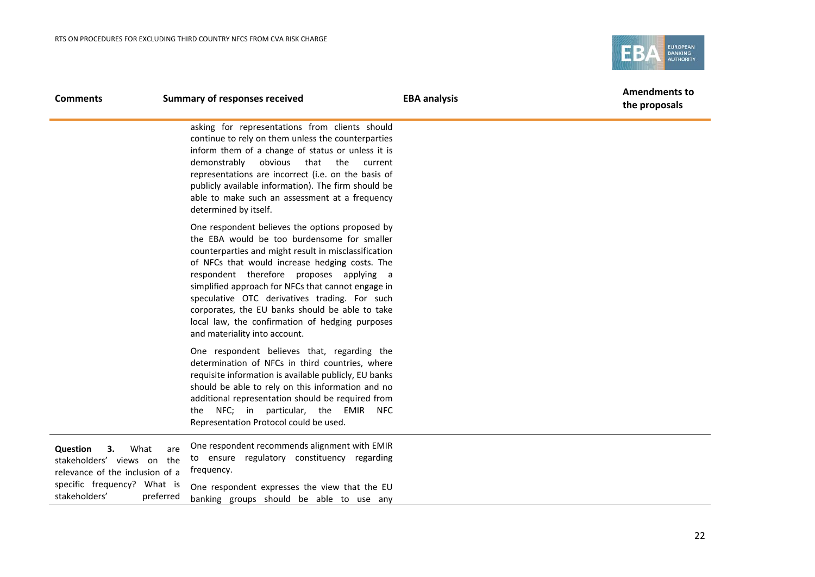

| <b>Comments</b>                                                                                | <b>Summary of responses received</b>                                                                                                                                                                                                                                                                                                                                                                                                                                                               | <b>EBA analysis</b> | <b>Amendments to</b><br>the proposals |
|------------------------------------------------------------------------------------------------|----------------------------------------------------------------------------------------------------------------------------------------------------------------------------------------------------------------------------------------------------------------------------------------------------------------------------------------------------------------------------------------------------------------------------------------------------------------------------------------------------|---------------------|---------------------------------------|
|                                                                                                | asking for representations from clients should<br>continue to rely on them unless the counterparties<br>inform them of a change of status or unless it is<br>demonstrably<br>obvious that the<br>current<br>representations are incorrect (i.e. on the basis of<br>publicly available information). The firm should be<br>able to make such an assessment at a frequency<br>determined by itself.                                                                                                  |                     |                                       |
|                                                                                                | One respondent believes the options proposed by<br>the EBA would be too burdensome for smaller<br>counterparties and might result in misclassification<br>of NFCs that would increase hedging costs. The<br>respondent therefore proposes applying a<br>simplified approach for NFCs that cannot engage in<br>speculative OTC derivatives trading. For such<br>corporates, the EU banks should be able to take<br>local law, the confirmation of hedging purposes<br>and materiality into account. |                     |                                       |
|                                                                                                | One respondent believes that, regarding the<br>determination of NFCs in third countries, where<br>requisite information is available publicly, EU banks<br>should be able to rely on this information and no<br>additional representation should be required from<br>the NFC; in particular, the EMIR<br><b>NFC</b><br>Representation Protocol could be used.                                                                                                                                      |                     |                                       |
| Question<br>What<br>З.<br>are<br>stakeholders' views on the<br>relevance of the inclusion of a | One respondent recommends alignment with EMIR<br>to ensure regulatory constituency regarding<br>frequency.                                                                                                                                                                                                                                                                                                                                                                                         |                     |                                       |
| specific frequency? What is<br>stakeholders'<br>preferred                                      | One respondent expresses the view that the EU<br>banking groups should be able to use any                                                                                                                                                                                                                                                                                                                                                                                                          |                     |                                       |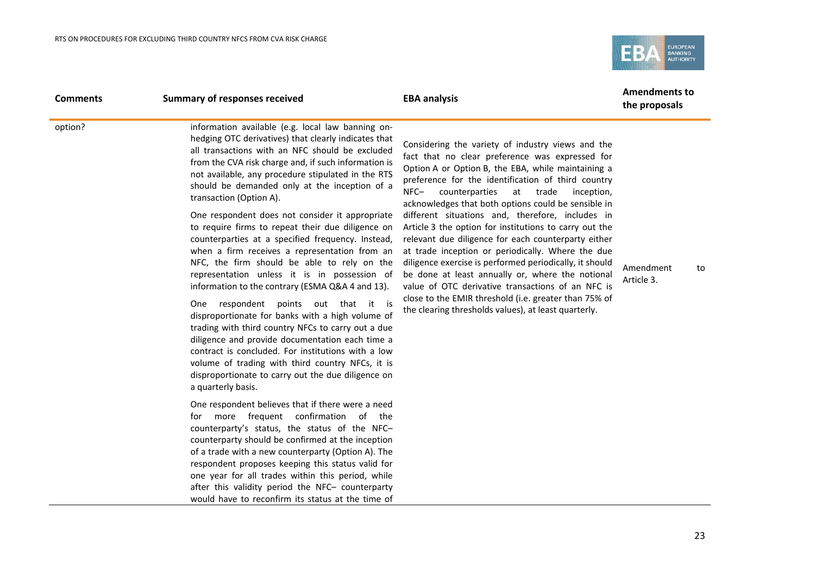

| <b>Comments</b> | <b>Summary of responses received</b>                                                                                                                                                                                                                                                                                                                                                                                                                                                                                                                                                                                                                                                                                                                                                                                                                                                                                                                                                                                                                                                                               | <b>EBA analysis</b>                                                                                                                                                                                                                                                                                                                                                                                                                                                                                                                                                                                                                                                                                                                                                                                                                          | <b>Amendments to</b><br>the proposals |
|-----------------|--------------------------------------------------------------------------------------------------------------------------------------------------------------------------------------------------------------------------------------------------------------------------------------------------------------------------------------------------------------------------------------------------------------------------------------------------------------------------------------------------------------------------------------------------------------------------------------------------------------------------------------------------------------------------------------------------------------------------------------------------------------------------------------------------------------------------------------------------------------------------------------------------------------------------------------------------------------------------------------------------------------------------------------------------------------------------------------------------------------------|----------------------------------------------------------------------------------------------------------------------------------------------------------------------------------------------------------------------------------------------------------------------------------------------------------------------------------------------------------------------------------------------------------------------------------------------------------------------------------------------------------------------------------------------------------------------------------------------------------------------------------------------------------------------------------------------------------------------------------------------------------------------------------------------------------------------------------------------|---------------------------------------|
| option?         | information available (e.g. local law banning on-<br>hedging OTC derivatives) that clearly indicates that<br>all transactions with an NFC should be excluded<br>from the CVA risk charge and, if such information is<br>not available, any procedure stipulated in the RTS<br>should be demanded only at the inception of a<br>transaction (Option A).<br>One respondent does not consider it appropriate<br>to require firms to repeat their due diligence on<br>counterparties at a specified frequency. Instead,<br>when a firm receives a representation from an<br>NFC, the firm should be able to rely on the<br>representation unless it is in possession of<br>information to the contrary (ESMA Q&A 4 and 13).<br>One respondent points out that it is<br>disproportionate for banks with a high volume of<br>trading with third country NFCs to carry out a due<br>diligence and provide documentation each time a<br>contract is concluded. For institutions with a low<br>volume of trading with third country NFCs, it is<br>disproportionate to carry out the due diligence on<br>a quarterly basis. | Considering the variety of industry views and the<br>fact that no clear preference was expressed for<br>Option A or Option B, the EBA, while maintaining a<br>preference for the identification of third country<br>at trade<br>$NFC-$<br>counterparties<br>inception,<br>acknowledges that both options could be sensible in<br>different situations and, therefore, includes in<br>Article 3 the option for institutions to carry out the<br>relevant due diligence for each counterparty either<br>at trade inception or periodically. Where the due<br>diligence exercise is performed periodically, it should<br>be done at least annually or, where the notional<br>value of OTC derivative transactions of an NFC is<br>close to the EMIR threshold (i.e. greater than 75% of<br>the clearing thresholds values), at least quarterly. | Amendment<br>to<br>Article 3.         |
|                 | One respondent believes that if there were a need<br>more frequent confirmation of the<br>for<br>counterparty's status, the status of the NFC-<br>counterparty should be confirmed at the inception<br>of a trade with a new counterparty (Option A). The<br>respondent proposes keeping this status valid for<br>one year for all trades within this period, while<br>after this validity period the NFC- counterparty<br>would have to reconfirm its status at the time of                                                                                                                                                                                                                                                                                                                                                                                                                                                                                                                                                                                                                                       |                                                                                                                                                                                                                                                                                                                                                                                                                                                                                                                                                                                                                                                                                                                                                                                                                                              |                                       |